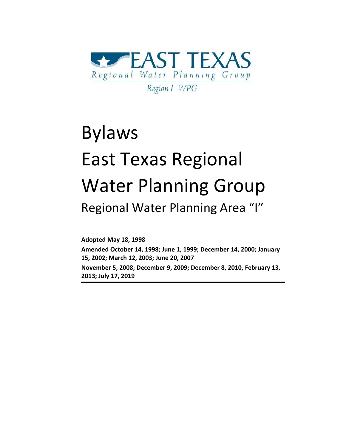

# Bylaws East Texas Regional Water Planning Group Regional Water Planning Area "I"

**Adopted May 18, 1998**

**Amended October 14, 1998; June 1, 1999; December 14, 2000; January 15, 2002; March 12, 2003; June 20, 2007**

**November 5, 2008; December 9, 2009; December 8, 2010, February 13, 2013; July 17, 2019**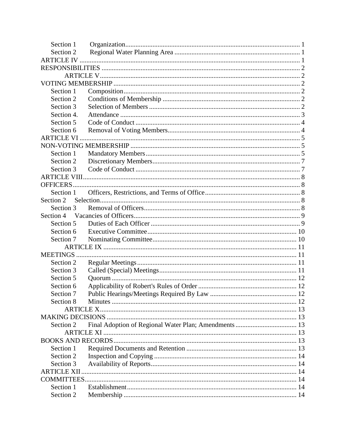| Section 1         |  |  |  |
|-------------------|--|--|--|
| Section 2         |  |  |  |
|                   |  |  |  |
|                   |  |  |  |
|                   |  |  |  |
|                   |  |  |  |
| Section 1         |  |  |  |
| Section 2         |  |  |  |
| Section 3         |  |  |  |
| Section 4.        |  |  |  |
| Section 5         |  |  |  |
| Section 6         |  |  |  |
| <b>ARTICLE VI</b> |  |  |  |
|                   |  |  |  |
| Section 1         |  |  |  |
| Section 2         |  |  |  |
| Section 3         |  |  |  |
|                   |  |  |  |
|                   |  |  |  |
| Section 1         |  |  |  |
| Section 2         |  |  |  |
| Section 3         |  |  |  |
| Section 4         |  |  |  |
| Section 5         |  |  |  |
| Section 6         |  |  |  |
| Section 7         |  |  |  |
|                   |  |  |  |
| <b>MEETINGS</b>   |  |  |  |
| Section 2         |  |  |  |
| Section 3         |  |  |  |
| Section 5         |  |  |  |
| Section 6         |  |  |  |
| Section 7         |  |  |  |
| Section 8         |  |  |  |
|                   |  |  |  |
|                   |  |  |  |
| Section 2         |  |  |  |
|                   |  |  |  |
|                   |  |  |  |
| Section 1         |  |  |  |
| Section 2         |  |  |  |
| Section 3         |  |  |  |
|                   |  |  |  |
|                   |  |  |  |
| Section 1         |  |  |  |
| Section 2         |  |  |  |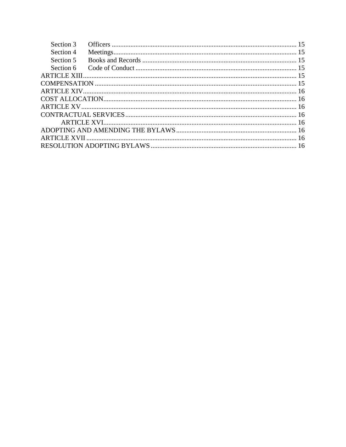| Section 3 |  |
|-----------|--|
| Section 4 |  |
| Section 5 |  |
| Section 6 |  |
|           |  |
|           |  |
|           |  |
|           |  |
|           |  |
|           |  |
|           |  |
|           |  |
|           |  |
|           |  |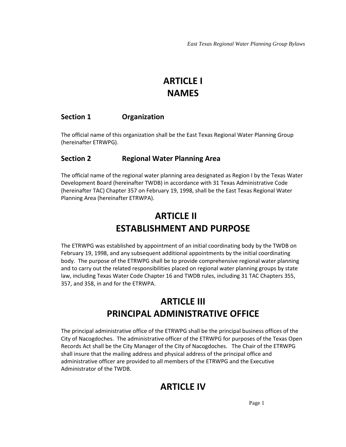### **ARTICLE I NAMES**

#### <span id="page-3-0"></span>**Section 1 Organization**

The official name of this organization shall be the East Texas Regional Water Planning Group (hereinafter ETRWPG).

#### <span id="page-3-1"></span>**Section 2 Regional Water Planning Area**

The official name of the regional water planning area designated as Region I by the Texas Water Development Board (hereinafter TWDB) in accordance with 31 Texas Administrative Code (hereinafter TAC) Chapter 357 on February 19, 1998, shall be the East Texas Regional Water Planning Area (hereinafter ETRWPA).

### **ARTICLE II ESTABLISHMENT AND PURPOSE**

The ETRWPG was established by appointment of an initial coordinating body by the TWDB on February 19, 1998, and any subsequent additional appointments by the initial coordinating body. The purpose of the ETRWPG shall be to provide comprehensive regional water planning and to carry out the related responsibilities placed on regional water planning groups by state law, including Texas Water Code Chapter 16 and TWDB rules, including 31 TAC Chapters 355, 357, and 358, in and for the ETRWPA.

### **ARTICLE III PRINCIPAL ADMINISTRATIVE OFFICE**

<span id="page-3-2"></span>The principal administrative office of the ETRWPG shall be the principal business offices of the City of Nacogdoches. The administrative officer of the ETRWPG for purposes of the Texas Open Records Act shall be the City Manager of the City of Nacogdoches. The Chair of the ETRWPG shall insure that the mailing address and physical address of the principal office and administrative officer are provided to all members of the ETRWPG and the Executive Administrator of the TWDB.

### **ARTICLE IV**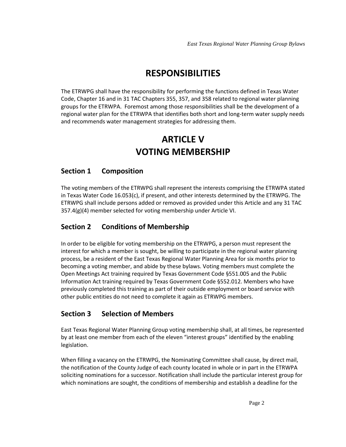### **RESPONSIBILITIES**

<span id="page-4-0"></span>The ETRWPG shall have the responsibility for performing the functions defined in Texas Water Code, Chapter 16 and in 31 TAC Chapters 355, 357, and 358 related to regional water planning groups for the ETRWPA. Foremost among those responsibilities shall be the development of a regional water plan for the ETRWPA that identifies both short and long-term water supply needs and recommends water management strategies for addressing them.

### <span id="page-4-1"></span>**ARTICLE V VOTING MEMBERSHIP**

#### <span id="page-4-3"></span><span id="page-4-2"></span>**Section 1 Composition**

The voting members of the ETRWPG shall represent the interests comprising the ETRWPA stated in Texas Water Code 16.053(c), if present, and other interests determined by the ETRWPG. The ETRWPG shall include persons added or removed as provided under this Article and any 31 TAC 357.4(g)(4) member selected for voting membership under Article VI.

#### <span id="page-4-4"></span>**Section 2 Conditions of Membership**

In order to be eligible for voting membership on the ETRWPG, a person must represent the interest for which a member is sought, be willing to participate in the regional water planning process, be a resident of the East Texas Regional Water Planning Area for six months prior to becoming a voting member, and abide by these bylaws. Voting members must complete the Open Meetings Act training required by Texas Government Code §551.005 and the Public Information Act training required by Texas Government Code §552.012. Members who have previously completed this training as part of their outside employment or board service with other public entities do not need to complete it again as ETRWPG members.

#### <span id="page-4-5"></span>**Section 3 Selection of Members**

East Texas Regional Water Planning Group voting membership shall, at all times, be represented by at least one member from each of the eleven "interest groups" identified by the enabling legislation.

When filling a vacancy on the ETRWPG, the Nominating Committee shall cause, by direct mail, the notification of the County Judge of each county located in whole or in part in the ETRWPA soliciting nominations for a successor. Notification shall include the particular interest group for which nominations are sought, the conditions of membership and establish a deadline for the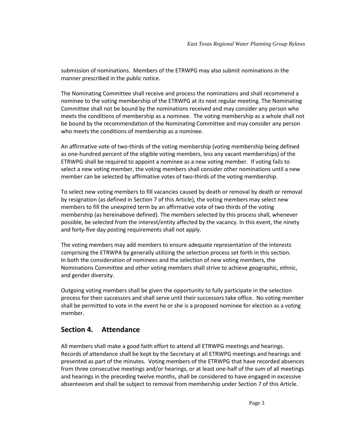submission of nominations. Members of the ETRWPG may also submit nominations in the manner prescribed in the public notice.

The Nominating Committee shall receive and process the nominations and shall recommend a nominee to the voting membership of the ETRWPG at its next regular meeting. The Nominating Committee shall not be bound by the nominations received and may consider any person who meets the conditions of membership as a nominee. The voting membership as a whole shall not be bound by the recommendation of the Nominating Committee and may consider any person who meets the conditions of membership as a nominee.

An affirmative vote of two-thirds of the voting membership (voting membership being defined as one-hundred percent of the eligible voting members, less any vacant memberships) of the ETRWPG shall be required to appoint a nominee as a new voting member. If voting fails to select a new voting member, the voting members shall consider other nominations until a new member can be selected by affirmative votes of two-thirds of the voting membership.

To select new voting members to fill vacancies caused by death or removal by death or removal by resignation (as defined in Section 7 of this Article), the voting members may select new members to fill the unexpired term by an affirmative vote of two thirds of the voting membership (as hereinabove defined). The members selected by this process shall, whenever possible, be selected from the interest/entity affected by the vacancy. In this event, the ninety and forty-five day posting requirements shall not apply.

The voting members may add members to ensure adequate representation of the interests comprising the ETRWPA by generally utilizing the selection process set forth in this section. In both the consideration of nominees and the selection of new voting members, the Nominations Committee and other voting members shall strive to achieve geographic, ethnic, and gender diversity.

Outgoing voting members shall be given the opportunity to fully participate in the selection process for their successors and shall serve until their successors take office. No voting member shall be permitted to vote in the event he or she is a proposed nominee for election as a voting member.

#### <span id="page-5-0"></span>**Section 4. Attendance**

All members shall make a good faith effort to attend all ETRWPG meetings and hearings. Records of attendance shall be kept by the Secretary at all ETRWPG meetings and hearings and presented as part of the minutes. Voting members of the ETRWPG that have recorded absences from three consecutive meetings and/or hearings, or at least one-half of the sum of all meetings and hearings in the preceding twelve months, shall be considered to have engaged in excessive absenteeism and shall be subject to removal from membership under Section 7 of this Article.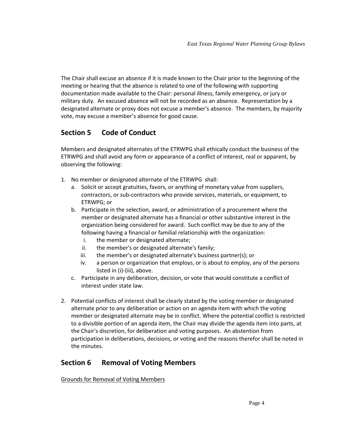The Chair shall excuse an absence if it is made known to the Chair prior to the beginning of the meeting or hearing that the absence is related to one of the following with supporting documentation made available to the Chair: personal illness, family emergency, or jury or military duty. An excused absence will not be recorded as an absence. Representation by a designated alternate or proxy does not excuse a member's absence. The members, by majority vote, may excuse a member's absence for good cause.

#### <span id="page-6-0"></span>**Section 5 Code of Conduct**

Members and designated alternates of the ETRWPG shall ethically conduct the business of the ETRWPG and shall avoid any form or appearance of a conflict of interest, real or apparent, by observing the following:

- 1. No member or designated alternate of the ETRWPG shall:
	- a. Solicit or accept gratuities, favors, or anything of monetary value from suppliers, contractors, or sub-contractors who provide services, materials, or equipment, to ETRWPG; or
	- b. Participate in the selection, award, or administration of a procurement where the member or designated alternate has a financial or other substantive interest in the organization being considered for award. Such conflict may be due to any of the following having a financial or familial relationship with the organization:
		- i. the member or designated alternate;
		- ii. the member's or designated alternate's family;
		- iii. the member's or designated alternate's business partner(s); or
		- iv. a person or organization that employs, or is about to employ, any of the persons listed in (i)-(iii), above.
	- c. Participate in any deliberation, decision, or vote that would constitute a conflict of interest under state law.
- 2. Potential conflicts of interest shall be clearly stated by the voting member or designated alternate prior to any deliberation or action on an agenda item with which the voting member or designated alternate may be in conflict. Where the potential conflict is restricted to a divisible portion of an agenda item, the Chair may divide the agenda item into parts, at the Chair's discretion, for deliberation and voting purposes. An abstention from participation in deliberations, decisions, or voting and the reasons therefor shall be noted in the minutes.

#### <span id="page-6-1"></span>**Section 6 Removal of Voting Members**

Grounds for Removal of Voting Members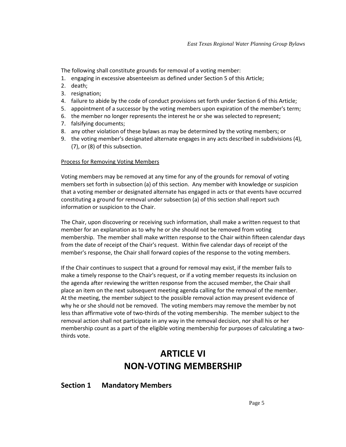The following shall constitute grounds for removal of a voting member:

- 1. engaging in excessive absenteeism as defined under Section 5 of this Article;
- 2. death;
- 3. resignation;
- 4. failure to abide by the code of conduct provisions set forth under Section 6 of this Article;
- 5. appointment of a successor by the voting members upon expiration of the member's term;
- 6. the member no longer represents the interest he or she was selected to represent;
- 7. falsifying documents;
- 8. any other violation of these bylaws as may be determined by the voting members; or
- 9. the voting member's designated alternate engages in any acts described in subdivisions (4), (7), or (8) of this subsection.

#### Process for Removing Voting Members

Voting members may be removed at any time for any of the grounds for removal of voting members set forth in subsection (a) of this section. Any member with knowledge or suspicion that a voting member or designated alternate has engaged in acts or that events have occurred constituting a ground for removal under subsection (a) of this section shall report such information or suspicion to the Chair.

The Chair, upon discovering or receiving such information, shall make a written request to that member for an explanation as to why he or she should not be removed from voting membership. The member shall make written response to the Chair within fifteen calendar days from the date of receipt of the Chair's request. Within five calendar days of receipt of the member's response, the Chair shall forward copies of the response to the voting members.

If the Chair continues to suspect that a ground for removal may exist, if the member fails to make a timely response to the Chair's request, or if a voting member requests its inclusion on the agenda after reviewing the written response from the accused member, the Chair shall place an item on the next subsequent meeting agenda calling for the removal of the member. At the meeting, the member subject to the possible removal action may present evidence of why he or she should not be removed. The voting members may remove the member by not less than affirmative vote of two-thirds of the voting membership. The member subject to the removal action shall not participate in any way in the removal decision, nor shall his or her membership count as a part of the eligible voting membership for purposes of calculating a twothirds vote.

### **ARTICLE VI NON-VOTING MEMBERSHIP**

#### <span id="page-7-2"></span><span id="page-7-1"></span><span id="page-7-0"></span>**Section 1 Mandatory Members**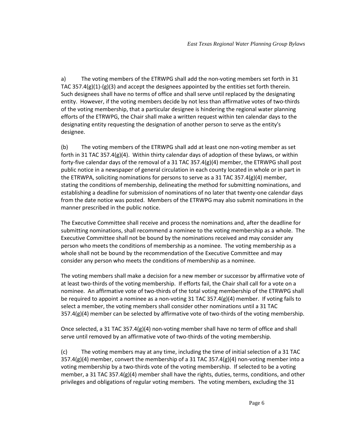a) The voting members of the ETRWPG shall add the non-voting members set forth in 31 TAC  $357.4(g)(1)-(g)(3)$  and accept the designees appointed by the entities set forth therein. Such designees shall have no terms of office and shall serve until replaced by the designating entity. However, if the voting members decide by not less than affirmative votes of two-thirds of the voting membership, that a particular designee is hindering the regional water planning efforts of the ETRWPG, the Chair shall make a written request within ten calendar days to the designating entity requesting the designation of another person to serve as the entity's designee.

(b) The voting members of the ETRWPG shall add at least one non-voting member as set forth in 31 TAC 357.4(g)(4). Within thirty calendar days of adoption of these bylaws, or within forty-five calendar days of the removal of a 31 TAC 357.4(g)(4) member, the ETRWPG shall post public notice in a newspaper of general circulation in each county located in whole or in part in the ETRWPA, soliciting nominations for persons to serve as a 31 TAC 357.4(g)(4) member, stating the conditions of membership, delineating the method for submitting nominations, and establishing a deadline for submission of nominations of no later that twenty-one calendar days from the date notice was posted. Members of the ETRWPG may also submit nominations in the manner prescribed in the public notice.

The Executive Committee shall receive and process the nominations and, after the deadline for submitting nominations, shall recommend a nominee to the voting membership as a whole. The Executive Committee shall not be bound by the nominations received and may consider any person who meets the conditions of membership as a nominee. The voting membership as a whole shall not be bound by the recommendation of the Executive Committee and may consider any person who meets the conditions of membership as a nominee.

The voting members shall make a decision for a new member or successor by affirmative vote of at least two-thirds of the voting membership. If efforts fail, the Chair shall call for a vote on a nominee. An affirmative vote of two-thirds of the total voting membership of the ETRWPG shall be required to appoint a nominee as a non-voting 31 TAC 357.4(g)(4) member. If voting fails to select a member, the voting members shall consider other nominations until a 31 TAC  $357.4(g)(4)$  member can be selected by affirmative vote of two-thirds of the voting membership.

Once selected, a 31 TAC 357.4(g)(4) non-voting member shall have no term of office and shall serve until removed by an affirmative vote of two-thirds of the voting membership.

(c) The voting members may at any time, including the time of initial selection of a 31 TAC  $357.4(g)(4)$  member, convert the membership of a 31 TAC 357.4(g)(4) non-voting member into a voting membership by a two-thirds vote of the voting membership. If selected to be a voting member, a 31 TAC 357.4(g)(4) member shall have the rights, duties, terms, conditions, and other privileges and obligations of regular voting members. The voting members, excluding the 31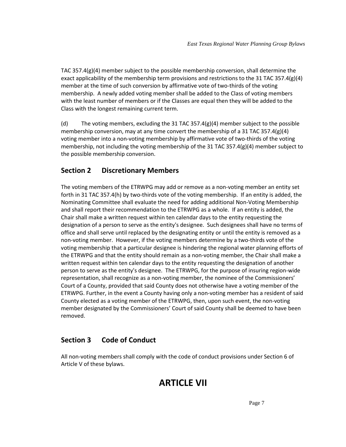TAC 357.4(g)(4) member subject to the possible membership conversion, shall determine the exact applicability of the membership term provisions and restrictions to the 31 TAC 357.4(g)(4) member at the time of such conversion by affirmative vote of two-thirds of the voting membership. A newly added voting member shall be added to the Class of voting members with the least number of members or if the Classes are equal then they will be added to the Class with the longest remaining current term.

(d) The voting members, excluding the 31 TAC 357.4(g)(4) member subject to the possible membership conversion, may at any time convert the membership of a 31 TAC 357.4(g)(4) voting member into a non-voting membership by affirmative vote of two-thirds of the voting membership, not including the voting membership of the 31 TAC 357.4(g)(4) member subject to the possible membership conversion.

#### <span id="page-9-0"></span>**Section 2 Discretionary Members**

The voting members of the ETRWPG may add or remove as a non-voting member an entity set forth in 31 TAC 357.4(h) by two-thirds vote of the voting membership. If an entity is added, the Nominating Committee shall evaluate the need for adding additional Non-Voting Membership and shall report their recommendation to the ETRWPG as a whole. If an entity is added, the Chair shall make a written request within ten calendar days to the entity requesting the designation of a person to serve as the entity's designee. Such designees shall have no terms of office and shall serve until replaced by the designating entity or until the entity is removed as a non-voting member. However, if the voting members determine by a two-thirds vote of the voting membership that a particular designee is hindering the regional water planning efforts of the ETRWPG and that the entity should remain as a non-voting member, the Chair shall make a written request within ten calendar days to the entity requesting the designation of another person to serve as the entity's designee. The ETRWPG, for the purpose of insuring region-wide representation, shall recognize as a non-voting member, the nominee of the Commissioners' Court of a County, provided that said County does not otherwise have a voting member of the ETRWPG. Further, in the event a County having only a non-voting member has a resident of said County elected as a voting member of the ETRWPG, then, upon such event, the non-voting member designated by the Commissioners' Court of said County shall be deemed to have been removed.

#### <span id="page-9-1"></span>**Section 3 Code of Conduct**

All non-voting members shall comply with the code of conduct provisions under Section 6 of Article V of these bylaws.

### **ARTICLE VII**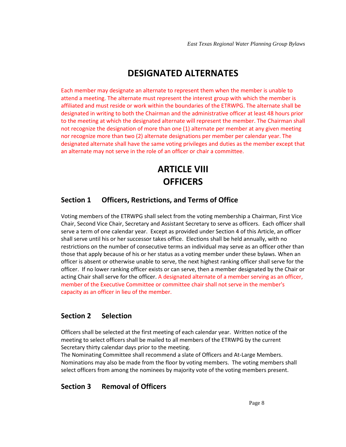### **DESIGNATED ALTERNATES**

Each member may designate an alternate to represent them when the member is unable to attend a meeting. The alternate must represent the interest group with which the member is affiliated and must reside or work within the boundaries of the ETRWPG. The alternate shall be designated in writing to both the Chairman and the administrative officer at least 48 hours prior to the meeting at which the designated alternate will represent the member. The Chairman shall not recognize the designation of more than one (1) alternate per member at any given meeting nor recognize more than two (2) alternate designations per member per calendar year. The designated alternate shall have the same voting privileges and duties as the member except that an alternate may not serve in the role of an officer or chair a committee.

### **ARTICLE VIII OFFICERS**

#### <span id="page-10-2"></span><span id="page-10-1"></span><span id="page-10-0"></span>**Section 1 Officers, Restrictions, and Terms of Office**

Voting members of the ETRWPG shall select from the voting membership a Chairman, First Vice Chair, Second Vice Chair, Secretary and Assistant Secretary to serve as officers. Each officer shall serve a term of one calendar year. Except as provided under Section 4 of this Article, an officer shall serve until his or her successor takes office. Elections shall be held annually, with no restrictions on the number of consecutive terms an individual may serve as an officer other than those that apply because of his or her status as a voting member under these bylaws. When an officer is absent or otherwise unable to serve, the next highest ranking officer shall serve for the officer. If no lower ranking officer exists or can serve, then a member designated by the Chair or acting Chair shall serve for the officer. A designated alternate of a member serving as an officer, member of the Executive Committee or committee chair shall not serve in the member's capacity as an officer in lieu of the member.

#### <span id="page-10-3"></span>**Section 2 Selection**

Officers shall be selected at the first meeting of each calendar year. Written notice of the meeting to select officers shall be mailed to all members of the ETRWPG by the current Secretary thirty calendar days prior to the meeting.

The Nominating Committee shall recommend a slate of Officers and At-Large Members. Nominations may also be made from the floor by voting members. The voting members shall select officers from among the nominees by majority vote of the voting members present.

#### <span id="page-10-4"></span>**Section 3 Removal of Officers**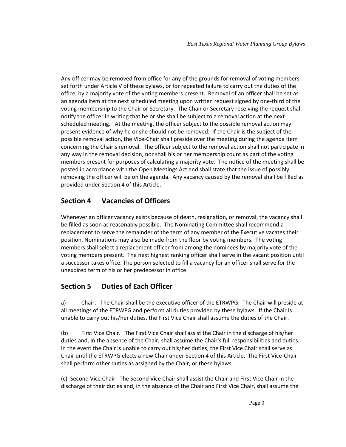Any officer may be removed from office for any of the grounds for removal of voting members set forth under Article V of these bylaws, or for repeated failure to carry out the duties of the office, by a majority vote of the voting members present. Removal of an officer shall be set as an agenda item at the next scheduled meeting upon written request signed by one-third of the voting membership to the Chair or Secretary. The Chair or Secretary receiving the request shall notify the officer in writing that he or she shall be subject to a removal action at the next scheduled meeting. At the meeting, the officer subject to the possible removal action may present evidence of why he or she should not be removed. If the Chair is the subject of the possible removal action, the Vice-Chair shall preside over the meeting during the agenda item concerning the Chair's removal. The officer subject to the removal action shall not participate in any way in the removal decision, nor shall his or her membership count as part of the voting members present for purposes of calculating a majority vote. The notice of the meeting shall be posted in accordance with the Open Meetings Act and shall state that the issue of possibly removing the officer will be on the agenda. Any vacancy caused by the removal shall be filled as provided under Section 4 of this Article.

#### <span id="page-11-0"></span>**Section 4 Vacancies of Officers**

Whenever an officer vacancy exists because of death, resignation, or removal, the vacancy shall be filled as soon as reasonably possible. The Nominating Committee shall recommend a replacement to serve the remainder of the term of any member of the Executive vacates their position. Nominations may also be made from the floor by voting members. The voting members shall select a replacement officer from among the nominees by majority vote of the voting members present. The next highest ranking officer shall serve in the vacant position until a successor takes office. The person selected to fill a vacancy for an officer shall serve for the unexpired term of his or her predecessor in office.

#### <span id="page-11-1"></span>**Section 5 Duties of Each Officer**

a) Chair. The Chair shall be the executive officer of the ETRWPG. The Chair will preside at all meetings of the ETRWPG and perform all duties provided by these bylaws. If the Chair is unable to carry out his/her duties, the First Vice Chair shall assume the duties of the Chair.

(b) First Vice Chair. The First Vice Chair shall assist the Chair in the discharge of his/her duties and, in the absence of the Chair, shall assume the Chair's full responsibilities and duties. In the event the Chair is unable to carry out his/her duties, the First Vice Chair shall serve as Chair until the ETRWPG elects a new Chair under Section 4 of this Article. The First Vice-Chair shall perform other duties as assigned by the Chair, or these bylaws.

(c) Second Vice Chair. The Second Vice Chair shall assist the Chair and First Vice Chair in the discharge of their duties and, in the absence of the Chair and First Vice Chair, shall assume the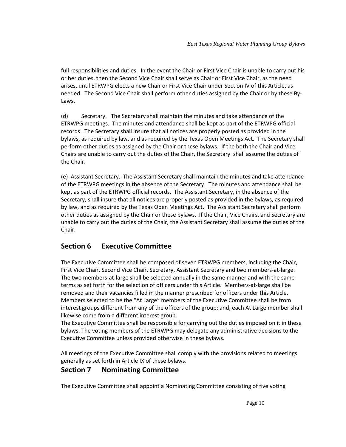full responsibilities and duties. In the event the Chair or First Vice Chair is unable to carry out his or her duties, then the Second Vice Chair shall serve as Chair or First Vice Chair, as the need arises, until ETRWPG elects a new Chair or First Vice Chair under Section IV of this Article, as needed. The Second Vice Chair shall perform other duties assigned by the Chair or by these By-Laws.

(d) Secretary. The Secretary shall maintain the minutes and take attendance of the ETRWPG meetings. The minutes and attendance shall be kept as part of the ETRWPG official records. The Secretary shall insure that all notices are properly posted as provided in the bylaws, as required by law, and as required by the Texas Open Meetings Act. The Secretary shall perform other duties as assigned by the Chair or these bylaws. If the both the Chair and Vice Chairs are unable to carry out the duties of the Chair, the Secretary shall assume the duties of the Chair.

(e) Assistant Secretary. The Assistant Secretary shall maintain the minutes and take attendance of the ETRWPG meetings in the absence of the Secretary. The minutes and attendance shall be kept as part of the ETRWPG official records. The Assistant Secretary, in the absence of the Secretary, shall insure that all notices are properly posted as provided in the bylaws, as required by law, and as required by the Texas Open Meetings Act. The Assistant Secretary shall perform other duties as assigned by the Chair or these bylaws. If the Chair, Vice Chairs, and Secretary are unable to carry out the duties of the Chair, the Assistant Secretary shall assume the duties of the Chair.

#### <span id="page-12-0"></span>**Section 6 Executive Committee**

The Executive Committee shall be composed of seven ETRWPG members, including the Chair, First Vice Chair, Second Vice Chair, Secretary, Assistant Secretary and two members-at-large. The two members-at-large shall be selected annually in the same manner and with the same terms as set forth for the selection of officers under this Article. Members-at-large shall be removed and their vacancies filled in the manner prescribed for officers under this Article. Members selected to be the "At Large" members of the Executive Committee shall be from interest groups different from any of the officers of the group; and, each At Large member shall likewise come from a different interest group.

The Executive Committee shall be responsible for carrying out the duties imposed on it in these bylaws. The voting members of the ETRWPG may delegate any administrative decisions to the Executive Committee unless provided otherwise in these bylaws.

All meetings of the Executive Committee shall comply with the provisions related to meetings generally as set forth in Article IX of these bylaws.

#### <span id="page-12-1"></span>**Section 7 Nominating Committee**

The Executive Committee shall appoint a Nominating Committee consisting of five voting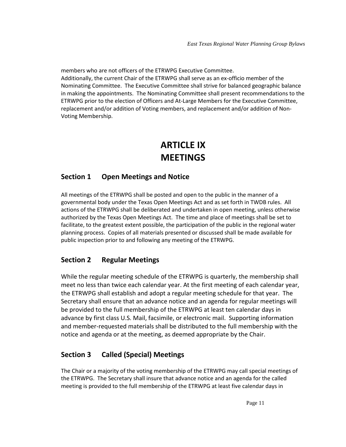members who are not officers of the ETRWPG Executive Committee. Additionally, the current Chair of the ETRWPG shall serve as an ex-officio member of the Nominating Committee. The Executive Committee shall strive for balanced geographic balance in making the appointments. The Nominating Committee shall present recommendations to the ETRWPG prior to the election of Officers and At-Large Members for the Executive Committee, replacement and/or addition of Voting members, and replacement and/or addition of Non-Voting Membership.

### <span id="page-13-0"></span>**ARTICLE IX MEETINGS**

#### <span id="page-13-1"></span>**Section 1 Open Meetings and Notice**

All meetings of the ETRWPG shall be posted and open to the public in the manner of a governmental body under the Texas Open Meetings Act and as set forth in TWDB rules. All actions of the ETRWPG shall be deliberated and undertaken in open meeting, unless otherwise authorized by the Texas Open Meetings Act. The time and place of meetings shall be set to facilitate, to the greatest extent possible, the participation of the public in the regional water planning process. Copies of all materials presented or discussed shall be made available for public inspection prior to and following any meeting of the ETRWPG.

#### <span id="page-13-2"></span>**Section 2 Regular Meetings**

While the regular meeting schedule of the ETRWPG is quarterly, the membership shall meet no less than twice each calendar year. At the first meeting of each calendar year, the ETRWPG shall establish and adopt a regular meeting schedule for that year. The Secretary shall ensure that an advance notice and an agenda for regular meetings will be provided to the full membership of the ETRWPG at least ten calendar days in advance by first class U.S. Mail, facsimile, or electronic mail. Supporting information and member-requested materials shall be distributed to the full membership with the notice and agenda or at the meeting, as deemed appropriate by the Chair.

#### <span id="page-13-3"></span>**Section 3 Called (Special) Meetings**

The Chair or a majority of the voting membership of the ETRWPG may call special meetings of the ETRWPG. The Secretary shall insure that advance notice and an agenda for the called meeting is provided to the full membership of the ETRWPG at least five calendar days in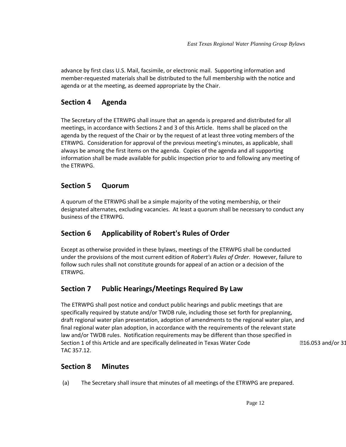advance by first class U.S. Mail, facsimile, or electronic mail. Supporting information and member-requested materials shall be distributed to the full membership with the notice and agenda or at the meeting, as deemed appropriate by the Chair.

#### **Section 4 Agenda**

The Secretary of the ETRWPG shall insure that an agenda is prepared and distributed for all meetings, in accordance with Sections 2 and 3 of this Article. Items shall be placed on the agenda by the request of the Chair or by the request of at least three voting members of the ETRWPG. Consideration for approval of the previous meeting's minutes, as applicable, shall always be among the first items on the agenda. Copies of the agenda and all supporting information shall be made available for public inspection prior to and following any meeting of the ETRWPG.

#### <span id="page-14-0"></span>**Section 5 Quorum**

A quorum of the ETRWPG shall be a simple majority of the voting membership, or their designated alternates, excluding vacancies. At least a quorum shall be necessary to conduct any business of the ETRWPG.

#### <span id="page-14-1"></span>**Section 6 Applicability of Robert's Rules of Order**

Except as otherwise provided in these bylaws, meetings of the ETRWPG shall be conducted under the provisions of the most current edition of *Robert's Rules of Order*. However, failure to follow such rules shall not constitute grounds for appeal of an action or a decision of the ETRWPG.

#### <span id="page-14-2"></span>**Section 7 Public Hearings/Meetings Required By Law**

The ETRWPG shall post notice and conduct public hearings and public meetings that are specifically required by statute and/or TWDB rule, including those set forth for preplanning, draft regional water plan presentation, adoption of amendments to the regional water plan, and final regional water plan adoption, in accordance with the requirements of the relevant state law and/or TWDB rules. Notification requirements may be different than those specified in Section 1 of this Article and are specifically delineated in Texas Water Code 16.053 and/or 31 TAC 357.12.

#### <span id="page-14-3"></span>**Section 8 Minutes**

(a) The Secretary shall insure that minutes of all meetings of the ETRWPG are prepared.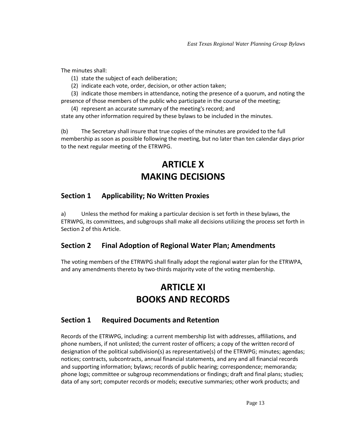The minutes shall:

- (1) state the subject of each deliberation;
- (2) indicate each vote, order, decision, or other action taken;

(3) indicate those members in attendance, noting the presence of a quorum, and noting the presence of those members of the public who participate in the course of the meeting;

(4) represent an accurate summary of the meeting's record; and

state any other information required by these bylaws to be included in the minutes.

(b) The Secretary shall insure that true copies of the minutes are provided to the full membership as soon as possible following the meeting, but no later than ten calendar days prior to the next regular meeting of the ETRWPG.

### <span id="page-15-0"></span>**ARTICLE X MAKING DECISIONS**

#### <span id="page-15-1"></span>**Section 1 Applicability; No Written Proxies**

a) Unless the method for making a particular decision is set forth in these bylaws, the ETRWPG, its committees, and subgroups shall make all decisions utilizing the process set forth in Section 2 of this Article.

#### <span id="page-15-2"></span>**Section 2 Final Adoption of Regional Water Plan; Amendments**

The voting members of the ETRWPG shall finally adopt the regional water plan for the ETRWPA, and any amendments thereto by two-thirds majority vote of the voting membership.

### <span id="page-15-3"></span>**ARTICLE XI BOOKS AND RECORDS**

#### <span id="page-15-5"></span><span id="page-15-4"></span>**Section 1 Required Documents and Retention**

Records of the ETRWPG, including: a current membership list with addresses, affiliations, and phone numbers, if not unlisted; the current roster of officers; a copy of the written record of designation of the political subdivision(s) as representative(s) of the ETRWPG; minutes; agendas; notices; contracts, subcontracts, annual financial statements, and any and all financial records and supporting information; bylaws; records of public hearing; correspondence; memoranda; phone logs; committee or subgroup recommendations or findings; draft and final plans; studies; data of any sort; computer records or models; executive summaries; other work products; and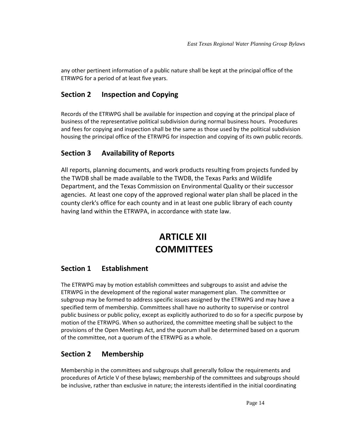any other pertinent information of a public nature shall be kept at the principal office of the ETRWPG for a period of at least five years.

#### <span id="page-16-0"></span>**Section 2 Inspection and Copying**

Records of the ETRWPG shall be available for inspection and copying at the principal place of business of the representative political subdivision during normal business hours. Procedures and fees for copying and inspection shall be the same as those used by the political subdivision housing the principal office of the ETRWPG for inspection and copying of its own public records.

#### <span id="page-16-1"></span>**Section 3 Availability of Reports**

All reports, planning documents, and work products resulting from projects funded by the TWDB shall be made available to the TWDB, the Texas Parks and Wildlife Department, and the Texas Commission on Environmental Quality or their successor agencies. At least one copy of the approved regional water plan shall be placed in the county clerk's office for each county and in at least one public library of each county having land within the ETRWPA, in accordance with state law.

### <span id="page-16-3"></span>**ARTICLE XII COMMITTEES**

#### <span id="page-16-4"></span><span id="page-16-2"></span>**Section 1 Establishment**

The ETRWPG may by motion establish committees and subgroups to assist and advise the ETRWPG in the development of the regional water management plan. The committee or subgroup may be formed to address specific issues assigned by the ETRWPG and may have a specified term of membership. Committees shall have no authority to supervise or control public business or public policy, except as explicitly authorized to do so for a specific purpose by motion of the ETRWPG. When so authorized, the committee meeting shall be subject to the provisions of the Open Meetings Act, and the quorum shall be determined based on a quorum of the committee, not a quorum of the ETRWPG as a whole.

#### <span id="page-16-5"></span>**Section 2 Membership**

Membership in the committees and subgroups shall generally follow the requirements and procedures of Article V of these bylaws; membership of the committees and subgroups should be inclusive, rather than exclusive in nature; the interests identified in the initial coordinating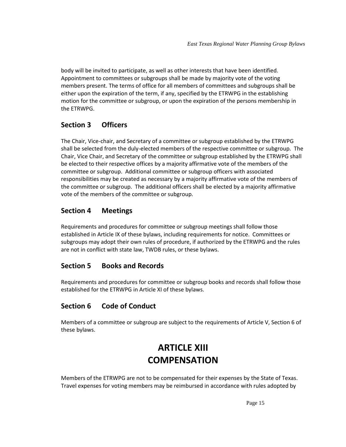body will be invited to participate, as well as other interests that have been identified. Appointment to committees or subgroups shall be made by majority vote of the voting members present. The terms of office for all members of committees and subgroups shall be either upon the expiration of the term, if any, specified by the ETRWPG in the establishing motion for the committee or subgroup, or upon the expiration of the persons membership in the ETRWPG.

#### <span id="page-17-0"></span>**Section 3 Officers**

The Chair, Vice-chair, and Secretary of a committee or subgroup established by the ETRWPG shall be selected from the duly-elected members of the respective committee or subgroup. The Chair, Vice Chair, and Secretary of the committee or subgroup established by the ETRWPG shall be elected to their respective offices by a majority affirmative vote of the members of the committee or subgroup. Additional committee or subgroup officers with associated responsibilities may be created as necessary by a majority affirmative vote of the members of the committee or subgroup. The additional officers shall be elected by a majority affirmative vote of the members of the committee or subgroup.

#### <span id="page-17-1"></span>**Section 4 Meetings**

Requirements and procedures for committee or subgroup meetings shall follow those established in Article IX of these bylaws, including requirements for notice. Committees or subgroups may adopt their own rules of procedure, if authorized by the ETRWPG and the rules are not in conflict with state law, TWDB rules, or these bylaws.

#### <span id="page-17-2"></span>**Section 5 Books and Records**

Requirements and procedures for committee or subgroup books and records shall follow those established for the ETRWPG in Article XI of these bylaws.

#### <span id="page-17-3"></span>**Section 6 Code of Conduct**

<span id="page-17-4"></span>Members of a committee or subgroup are subject to the requirements of Article V, Section 6 of these bylaws.

### **ARTICLE XIII COMPENSATION**

<span id="page-17-5"></span>Members of the ETRWPG are not to be compensated for their expenses by the State of Texas. Travel expenses for voting members may be reimbursed in accordance with rules adopted by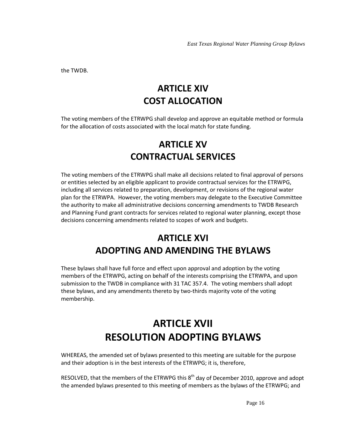<span id="page-18-0"></span>the TWDB.

### **ARTICLE XIV COST ALLOCATION**

<span id="page-18-2"></span><span id="page-18-1"></span>The voting members of the ETRWPG shall develop and approve an equitable method or formula for the allocation of costs associated with the local match for state funding.

### **ARTICLE XV CONTRACTUAL SERVICES**

<span id="page-18-3"></span>The voting members of the ETRWPG shall make all decisions related to final approval of persons or entities selected by an eligible applicant to provide contractual services for the ETRWPG, including all services related to preparation, development, or revisions of the regional water plan for the ETRWPA. However, the voting members may delegate to the Executive Committee the authority to make all administrative decisions concerning amendments to TWDB Research and Planning Fund grant contracts for services related to regional water planning, except those decisions concerning amendments related to scopes of work and budgets.

### **ARTICLE XVI ADOPTING AND AMENDING THE BYLAWS**

<span id="page-18-5"></span><span id="page-18-4"></span>These bylaws shall have full force and effect upon approval and adoption by the voting members of the ETRWPG, acting on behalf of the interests comprising the ETRWPA, and upon submission to the TWDB in compliance with 31 TAC 357.4. The voting members shall adopt these bylaws, and any amendments thereto by two-thirds majority vote of the voting membership.

## **ARTICLE XVII RESOLUTION ADOPTING BYLAWS**

<span id="page-18-7"></span><span id="page-18-6"></span>WHEREAS, the amended set of bylaws presented to this meeting are suitable for the purpose and their adoption is in the best interests of the ETRWPG; it is, therefore,

RESOLVED, that the members of the ETRWPG this  $8<sup>th</sup>$  day of December 2010, approve and adopt the amended bylaws presented to this meeting of members as the bylaws of the ETRWPG; and